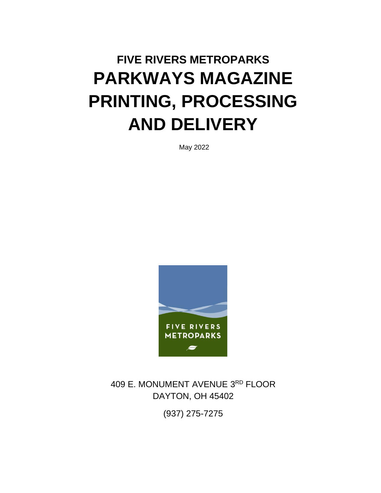# **FIVE RIVERS METROPARKS PARKWAYS MAGAZINE PRINTING, PROCESSING AND DELIVERY**

May 2022



409 E. MONUMENT AVENUE 3<sup>RD</sup> FLOOR DAYTON, OH 45402

(937) 275-7275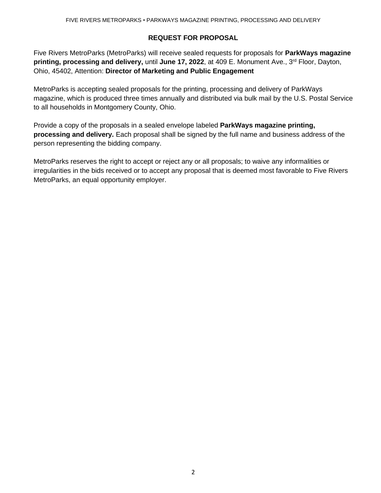### **REQUEST FOR PROPOSAL**

Five Rivers MetroParks (MetroParks) will receive sealed requests for proposals for **ParkWays magazine printing, processing and delivery,** until **June 17, 2022**, at 409 E. Monument Ave., 3 rd Floor, Dayton, Ohio, 45402, Attention: **Director of Marketing and Public Engagement**

MetroParks is accepting sealed proposals for the printing, processing and delivery of ParkWays magazine, which is produced three times annually and distributed via bulk mail by the U.S. Postal Service to all households in Montgomery County, Ohio.

Provide a copy of the proposals in a sealed envelope labeled **ParkWays magazine printing, processing and delivery.** Each proposal shall be signed by the full name and business address of the person representing the bidding company.

MetroParks reserves the right to accept or reject any or all proposals; to waive any informalities or irregularities in the bids received or to accept any proposal that is deemed most favorable to Five Rivers MetroParks, an equal opportunity employer.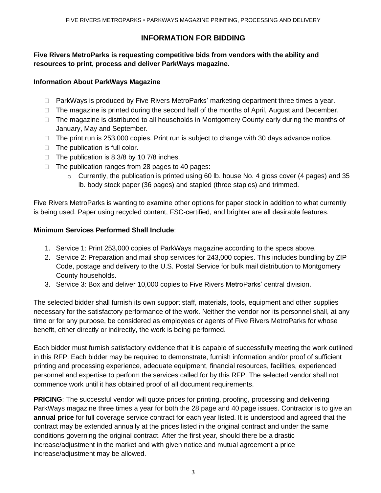# **INFORMATION FOR BIDDING**

## **Five Rivers MetroParks is requesting competitive bids from vendors with the ability and resources to print, process and deliver ParkWays magazine.**

## **Information About ParkWays Magazine**

- $\Box$  ParkWays is produced by Five Rivers MetroParks' marketing department three times a year.
- $\Box$  The magazine is printed during the second half of the months of April, August and December.
- $\Box$  The magazine is distributed to all households in Montgomery County early during the months of January, May and September.
- $\Box$  The print run is 253,000 copies. Print run is subject to change with 30 days advance notice.
- $\Box$  The publication is full color.
- $\Box$  The publication is 8 3/8 by 10 7/8 inches.
- $\Box$  The publication ranges from 28 pages to 40 pages:
	- $\circ$  Currently, the publication is printed using 60 lb. house No. 4 gloss cover (4 pages) and 35 lb. body stock paper (36 pages) and stapled (three staples) and trimmed.

Five Rivers MetroParks is wanting to examine other options for paper stock in addition to what currently is being used. Paper using recycled content, FSC-certified, and brighter are all desirable features.

#### **Minimum Services Performed Shall Include**:

- 1. Service 1: Print 253,000 copies of ParkWays magazine according to the specs above.
- 2. Service 2: Preparation and mail shop services for 243,000 copies. This includes bundling by ZIP Code, postage and delivery to the U.S. Postal Service for bulk mail distribution to Montgomery County households.
- 3. Service 3: Box and deliver 10,000 copies to Five Rivers MetroParks' central division.

The selected bidder shall furnish its own support staff, materials, tools, equipment and other supplies necessary for the satisfactory performance of the work. Neither the vendor nor its personnel shall, at any time or for any purpose, be considered as employees or agents of Five Rivers MetroParks for whose benefit, either directly or indirectly, the work is being performed.

Each bidder must furnish satisfactory evidence that it is capable of successfully meeting the work outlined in this RFP. Each bidder may be required to demonstrate, furnish information and/or proof of sufficient printing and processing experience, adequate equipment, financial resources, facilities, experienced personnel and expertise to perform the services called for by this RFP. The selected vendor shall not commence work until it has obtained proof of all document requirements.

**PRICING**: The successful vendor will quote prices for printing, proofing, processing and delivering ParkWays magazine three times a year for both the 28 page and 40 page issues. Contractor is to give an **annual price** for full coverage service contract for each year listed. It is understood and agreed that the contract may be extended annually at the prices listed in the original contract and under the same conditions governing the original contract. After the first year, should there be a drastic increase/adjustment in the market and with given notice and mutual agreement a price increase/adjustment may be allowed.